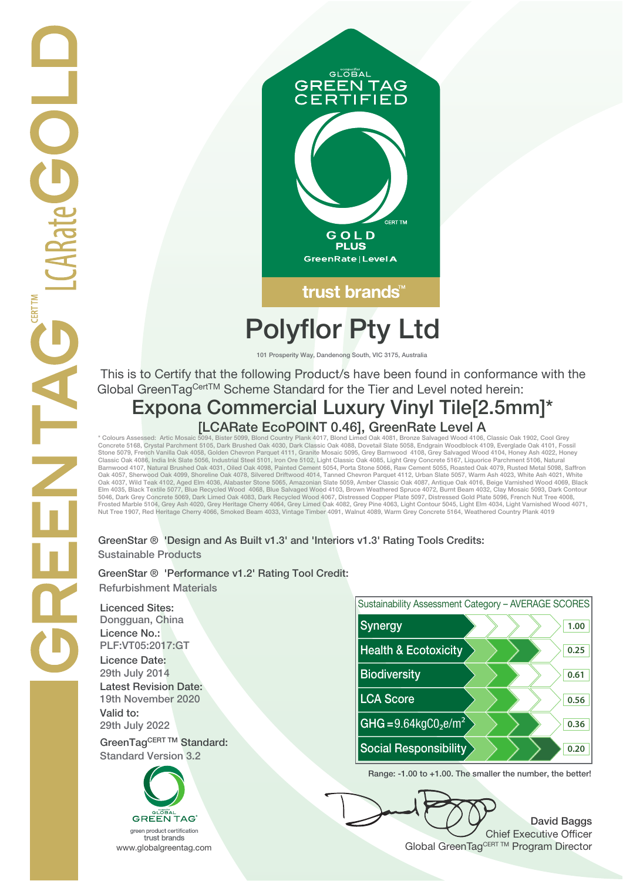

trust brands<sup>®</sup>

## **Polyflor Pty Ltd**

**101 Prosperity Way, Dandenong South, VIC 3175, Australia**

 This is to Certify that the following Product/s have been found in conformance with the Global GreenTag<sup>CertTM</sup> Scheme Standard for the Tier and Level noted herein:

# **Expona Commercial Luxury Vinyl Tile[2.5mm]\***

\* Colours Assessed: Artic Mosaic 5094, Bister 5099, Blond Country Plank 4017, Blond Limed Oak 4081, Bronze Salvaged Wood 4106, Classic Oak 1902, Cool Grey<br>Concrete 5168, Crystal Parchment 5105, Dark Brushed Oak 4030, Dark Classic Oak 4086, India Ink Slate 5056, Industrial Steel 5101, Iron Ore 5102, Light Classic Oak 4085, Light Grey Concrete 5167, Liquorice Parchment 5106, Natural<br>Barnwood 4107, Natural Brushed Oak 4031, Oiled Oak 4098, Pai Oak 4057, Sherwood Oak 4099, Shoreline Oak 4078, Silvered Driftwood 4014, Tanned Chevron Parquet 4112, Urban Slate 5057, Warm Ash 4023, White Ash 4021, White<br>Oak 4037, Wild Teak 4102, Aged Elm 4036, Alabaster Stone 5065, A Frosted Marble 5104, Grey Ash 4020, Grey Heritage Cherry 4064, Grey Limed Oak 4082, Grey Pine 4063, Light Contour 5045, Light Elm 4034, Light Varnished Wood 4071,<br>Nut Tree 1907, Red Heritage Cherry 4066, Smoked Beam 4033,

#### **GreenStar ® 'Design and As Built v1.3' and 'Interiors v1.3' Rating Tools Credits: Sustainable Products**

**GreenStar ® 'Performance v1.2' Rating Tool Credit: Refurbishment Materials**

**Licenced Sites: Licence No.: Licence Date: Latest Revision Date: Valid to:**

**Standard Version 3.2**





**Range: -1.00 to +1.00. The smaller the number, the better!**

**David Baggs** Chief Executive Officer WWW.globalgreentag.com **Program Director** Global GreenTagCERT TM Program Director